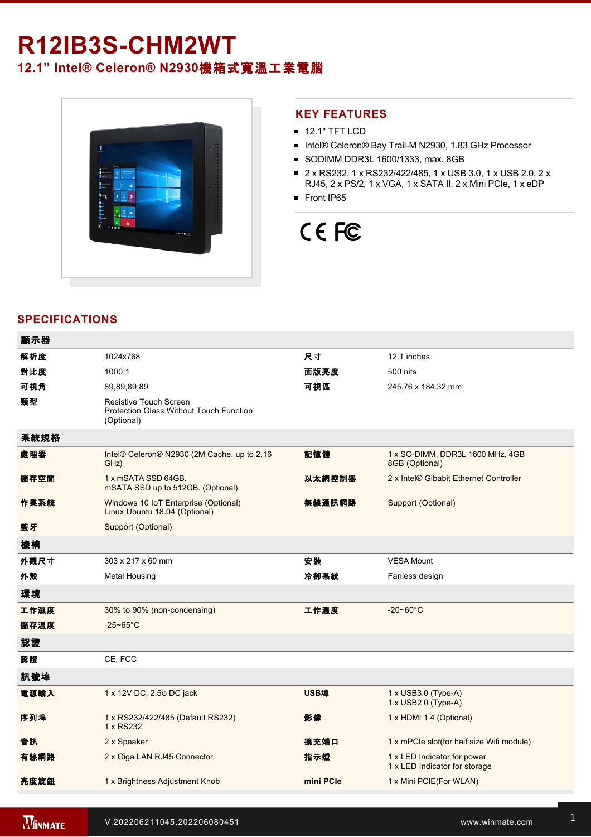## **R12IB3S-CHM2WT 12.1" Intel® Celeron® N2930**機箱式寬溫工業電腦



#### **KEY FEATURES**

- **12.1" TFT LCD**
- Intel® Celeron® Bay Trail-M N2930, 1.83 GHz Processor
- SODIMM DDR3L 1600/1333, max. 8GB
- 2 x RS232, 1 x RS232/422/485, 1 x USB 3.0, 1 x USB 2.0, 2 x RJ45, 2 x PS/2, 1 x VGA, 1 x SATA II, 2 x Mini PCIe, 1 x eDP
- Front IP65

# CE FC

#### **SPECIFICATIONS**

| 顯示器  |                                                                                 |             |                                                              |
|------|---------------------------------------------------------------------------------|-------------|--------------------------------------------------------------|
| 解析度  | 1024x768                                                                        | 尺寸          | 12.1 inches                                                  |
| 對比度  | 1000:1                                                                          | 面版亮度        | 500 nits                                                     |
| 可視角  | 89,89,89,89                                                                     | 可視區         | 245.76 x 184.32 mm                                           |
| 類型   | Resistive Touch Screen<br>Protection Glass Without Touch Function<br>(Optional) |             |                                                              |
| 系統規格 |                                                                                 |             |                                                              |
| 處理器  | Intel® Celeron® N2930 (2M Cache, up to 2.16<br>GHz)                             | 記憶體         | 1 x SO-DIMM, DDR3L 1600 MHz, 4GB<br>8GB (Optional)           |
| 儲存空間 | 1 x mSATA SSD 64GB.<br>mSATA SSD up to 512GB. (Optional)                        | 以太網控制器      | 2 x Intel® Gibabit Ethernet Controller                       |
| 作業系統 | Windows 10 IoT Enterprise (Optional)<br>Linux Ubuntu 18.04 (Optional)           | 無線通訊網路      | Support (Optional)                                           |
| 藍牙   | Support (Optional)                                                              |             |                                                              |
| 機構   |                                                                                 |             |                                                              |
| 外觀尺寸 | 303 x 217 x 60 mm                                                               | 安装          | <b>VESA Mount</b>                                            |
| 外殼   | <b>Metal Housing</b>                                                            | 冷卻系統        | Fanless design                                               |
| 環境   |                                                                                 |             |                                                              |
| 工作濕度 | 30% to 90% (non-condensing)                                                     | 工作溫度        | $-20 - 60^{\circ}C$                                          |
| 儲存溫度 | $-25 - 65^{\circ}$ C                                                            |             |                                                              |
| 認證   |                                                                                 |             |                                                              |
| 認證   | CE, FCC                                                                         |             |                                                              |
| 訊號埠  |                                                                                 |             |                                                              |
| 電源輸入 | 1 x 12V DC, 2.5 $\varphi$ DC jack                                               | <b>USB埠</b> | 1 x USB3.0 (Type-A)<br>1 x USB2.0 (Type-A)                   |
| 序列埠  | 1 x RS232/422/485 (Default RS232)<br>1 x RS232                                  | 影像          | 1 x HDMI 1.4 (Optional)                                      |
| 音訊   | 2 x Speaker                                                                     | 擴充端口        | 1 x mPCle slot(for half size Wifi module)                    |
| 有線網路 | 2 x Giga LAN RJ45 Connector                                                     | 指示燈         | 1 x LED Indicator for power<br>1 x LED Indicator for storage |
| 亮度旋鈕 | 1 x Brightness Adjustment Knob                                                  | mini PCle   | 1 x Mini PCIE(For WLAN)                                      |
|      |                                                                                 |             |                                                              |